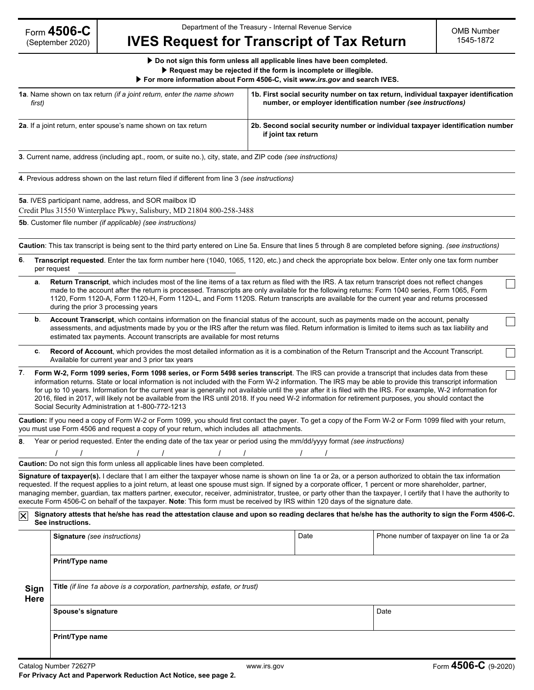# **IVES Request for Transcript of Tax Return**

▶ **Do not sign this form unless all applicable lines have been completed.** ▶ **Request may be rejected if the form is incomplete or illegible.**

|  |  |  | For more information about Form 4506-C, visit www.irs.gov and search IVES. |
|--|--|--|----------------------------------------------------------------------------|
|  |  |  |                                                                            |

| <b>1a.</b> Name shown on tax return <i>(if a joint return, enter the name shown</i> | 1b. First social security number on tax return, individual taxpayer identification                    |
|-------------------------------------------------------------------------------------|-------------------------------------------------------------------------------------------------------|
| first)                                                                              | number, or employer identification number (see instructions)                                          |
| 2a. If a joint return, enter spouse's name shown on tax return                      | 2b. Second social security number or individual taxpayer identification number<br>if joint tax return |

**3**. Current name, address (including apt., room, or suite no.), city, state, and ZIP code *(see instructions)*

**4**. Previous address shown on the last return filed if different from line 3 *(see instructions)*

**5a**. IVES participant name, address, and SOR mailbox ID

Credit Plus 31550 Winterplace Pkwy, Salisbury, MD 21804 800-258-3488

**5b**. Customer file number *(if applicable) (see instructions)*

**Caution**: This tax transcript is being sent to the third party entered on Line 5a. Ensure that lines 5 through 8 are completed before signing. *(see instructions)*

- **6**. **Transcript requested**. Enter the tax form number here (1040, 1065, 1120, etc.) and check the appropriate box below. Enter only one tax form number per request
	- **a**. **Return Transcript**, which includes most of the line items of a tax return as filed with the IRS. A tax return transcript does not reflect changes made to the account after the return is processed. Transcripts are only available for the following returns: Form 1040 series, Form 1065, Form 1120, Form 1120-A, Form 1120-H, Form 1120-L, and Form 1120S. Return transcripts are available for the current year and returns processed during the prior 3 processing years
	- **b**. **Account Transcript**, which contains information on the financial status of the account, such as payments made on the account, penalty assessments, and adjustments made by you or the IRS after the return was filed. Return information is limited to items such as tax liability and estimated tax payments. Account transcripts are available for most returns
	- **c**. **Record of Account**, which provides the most detailed information as it is a combination of the Return Transcript and the Account Transcript. Available for current year and 3 prior tax years
- **7**. **Form W-2, Form 1099 series, Form 1098 series, or Form 5498 series transcript**. The IRS can provide a transcript that includes data from these information returns. State or local information is not included with the Form W-2 information. The IRS may be able to provide this transcript information for up to 10 years. Information for the current year is generally not available until the year after it is filed with the IRS. For example, W-2 information for 2016, filed in 2017, will likely not be available from the IRS until 2018. If you need W-2 information for retirement purposes, you should contact the Social Security Administration at 1-800-772-1213

**Caution:** If you need a copy of Form W-2 or Form 1099, you should first contact the payer. To get a copy of the Form W-2 or Form 1099 filed with your return, you must use Form 4506 and request a copy of your return, which includes all attachments.

| 8. Year or period requested. Enter the ending date of the tax year or period using the mm/dd/yyyy format (see instructions) |  |  |  |  |  |  |  |  |
|-----------------------------------------------------------------------------------------------------------------------------|--|--|--|--|--|--|--|--|
|                                                                                                                             |  |  |  |  |  |  |  |  |
| <b>Caution:</b> Do not sign this form unless all applicable lines have been completed.                                      |  |  |  |  |  |  |  |  |

**Signature of taxpayer(s).** I declare that I am either the taxpayer whose name is shown on line 1a or 2a, or a person authorized to obtain the tax information requested. If the request applies to a joint return, at least one spouse must sign. If signed by a corporate officer, 1 percent or more shareholder, partner, managing member, guardian, tax matters partner, executor, receiver, administrator, trustee, or party other than the taxpayer, I certify that I have the authority to execute Form 4506-C on behalf of the taxpayer. **Note**: This form must be received by IRS within 120 days of the signature date.

#### **Signatory attests that he/she has read the attestation clause and upon so reading declares that he/she has the authority to sign the Form 4506-C. See instructions.**

|              | <b>Signature</b> (see instructions)                                      | Date | Phone number of taxpayer on line 1a or 2a |  |  |  |  |  |
|--------------|--------------------------------------------------------------------------|------|-------------------------------------------|--|--|--|--|--|
|              | Print/Type name                                                          |      |                                           |  |  |  |  |  |
| Sign<br>Here | Title (if line 1a above is a corporation, partnership, estate, or trust) |      |                                           |  |  |  |  |  |
|              | Spouse's signature                                                       |      | Date                                      |  |  |  |  |  |
|              | Print/Type name                                                          |      |                                           |  |  |  |  |  |